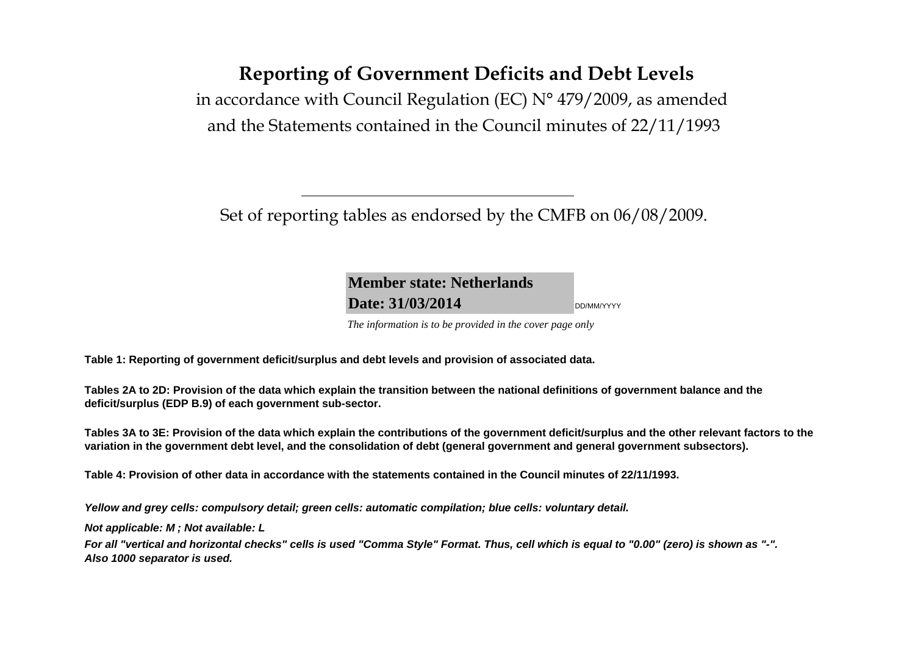# **Reporting of Government Deficits and Debt Levels**

in accordance with Council Regulation (EC) N° 479/2009, as amended and the Statements contained in the Council minutes of 22/11/1993

Set of reporting tables as endorsed by the CMFB on 06/08/2009.

**Member state: NetherlandsDate: 31/03/2014**DD/MM/YYYY

*The information is to be provided in the cover page only* 

**Table 1: Reporting of government deficit/surplus and debt levels and provision of associated data.**

**Tables 2A to 2D: Provision of the data which explain the transition between the national definitions of government balance and the deficit/surplus (EDP B.9) of each government sub-sector.**

**Tables 3A to 3E: Provision of the data which explain the contributions of the government deficit/surplus and the other relevant factors to the variation in the government debt level, and the consolidation of debt (general government and general government subsectors).**

**Table 4: Provision of other data in accordance with the statements contained in the Council minutes of 22/11/1993.**

**Yellow and grey cells: compulsory detail; green cells: automatic compilation; blue cells: voluntary detail.**

**Not applicable: M ; Not available: L** 

**For all "vertical and horizontal checks" cells is used "Comma Style" Format. Thus, cell which is equal to "0.00" (zero) is shown as "-". Also 1000 separator is used.**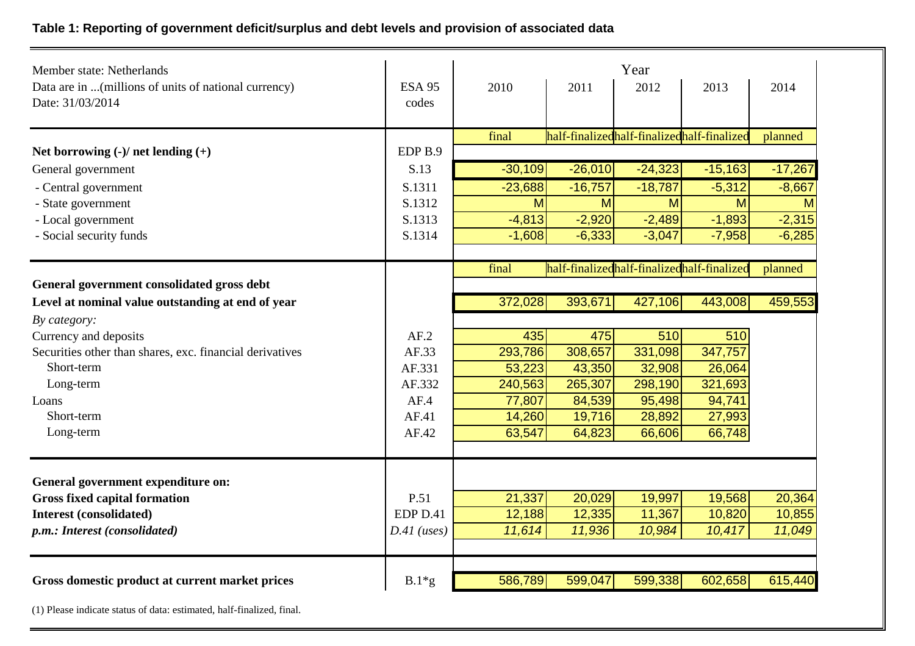# **Table 1: Reporting of government deficit/surplus and debt levels and provision of associated data**

| Member state: Netherlands                                                 |                        |           | Year      |                                            |           |           |  |  |  |
|---------------------------------------------------------------------------|------------------------|-----------|-----------|--------------------------------------------|-----------|-----------|--|--|--|
| Data are in  (millions of units of national currency)<br>Date: 31/03/2014 | <b>ESA 95</b><br>codes | 2010      | 2011      | 2012                                       | 2013      | 2014      |  |  |  |
|                                                                           |                        | final     |           | half-finalizedhalf-finalizedhalf-finalized |           | planned   |  |  |  |
| Net borrowing $(-)/$ net lending $(+)$                                    | EDP <sub>B.9</sub>     |           |           |                                            |           |           |  |  |  |
| General government                                                        | S.13                   | $-30,109$ | $-26,010$ | $-24,323$                                  | $-15,163$ | $-17,267$ |  |  |  |
| - Central government                                                      | S.1311                 | $-23,688$ | $-16,757$ | $-18,787$                                  | $-5,312$  | $-8,667$  |  |  |  |
| - State government                                                        | S.1312                 | M         | M         | M                                          | M         | M         |  |  |  |
| - Local government                                                        | S.1313                 | $-4,813$  | $-2,920$  | $-2,489$                                   | $-1,893$  | $-2,315$  |  |  |  |
| - Social security funds                                                   | S.1314                 | $-1,608$  | $-6,333$  | $-3,047$                                   | $-7,958$  | $-6,285$  |  |  |  |
|                                                                           |                        | final     |           | half-finalizedhalf-finalizedhalf-finalized |           | planned   |  |  |  |
| General government consolidated gross debt                                |                        |           |           |                                            |           |           |  |  |  |
| Level at nominal value outstanding at end of year                         |                        | 372,028   | 393,671   | 427,106                                    | 443,008   | 459,553   |  |  |  |
| By category:                                                              |                        |           |           |                                            |           |           |  |  |  |
| Currency and deposits                                                     | AF.2                   | 435       | 475       | 510                                        | 510       |           |  |  |  |
| Securities other than shares, exc. financial derivatives                  | AF.33                  | 293,786   | 308,657   | 331,098                                    | 347,757   |           |  |  |  |
| Short-term                                                                | AF.331                 | 53,223    | 43,350    | 32,908                                     | 26,064    |           |  |  |  |
| Long-term                                                                 | AF.332                 | 240,563   | 265,307   | 298,190                                    | 321,693   |           |  |  |  |
| Loans                                                                     | AF.4                   | 77,807    | 84,539    | 95,498                                     | 94,741    |           |  |  |  |
| Short-term                                                                | AF.41                  | 14,260    | 19,716    | 28,892                                     | 27,993    |           |  |  |  |
| Long-term                                                                 | AF.42                  | 63,547    | 64,823    | 66,606                                     | 66,748    |           |  |  |  |
| General government expenditure on:                                        |                        |           |           |                                            |           |           |  |  |  |
| <b>Gross fixed capital formation</b>                                      | P.51                   | 21,337    | 20,029    | 19,997                                     | 19,568    | 20,364    |  |  |  |
| <b>Interest (consolidated)</b>                                            | EDP D.41               | 12,188    | 12,335    | 11,367                                     | 10,820    | 10,855    |  |  |  |
| p.m.: Interest (consolidated)                                             | $D.41$ (uses)          | 11,614    | 11,936    | 10,984                                     | 10,417    | 11,049    |  |  |  |
|                                                                           |                        |           |           |                                            |           |           |  |  |  |
| Gross domestic product at current market prices                           | $B.1*g$                | 586,789   | 599,047   | 599,338                                    | 602,658   | 615,440   |  |  |  |

(1) Please indicate status of data: estimated, half-finalized, final.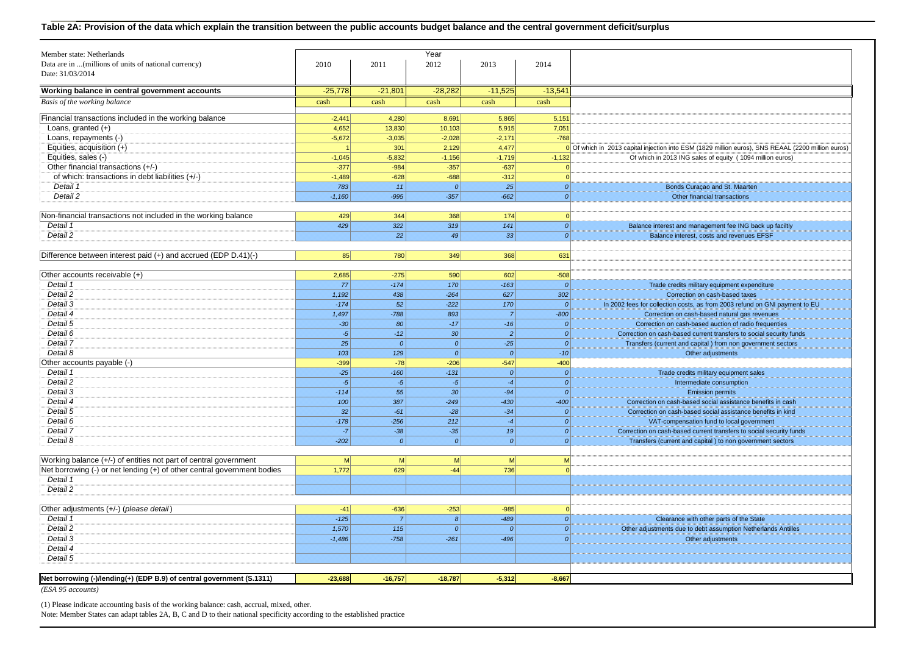#### **Table 2A: Provision of the data which explain the transition between the public accounts budget balance and the central government deficit/surplus**

| Member state: Netherlands<br>Data are in  (millions of units of national currency) | 2010           | 2011           | Year<br>2012     | 2013             | 2014                |                                                                                                    |
|------------------------------------------------------------------------------------|----------------|----------------|------------------|------------------|---------------------|----------------------------------------------------------------------------------------------------|
| Date: 31/03/2014                                                                   |                |                |                  |                  |                     |                                                                                                    |
|                                                                                    |                |                |                  |                  |                     |                                                                                                    |
| Working balance in central government accounts                                     | $-25,778$      | $-21,801$      | $-28,282$        | $-11,525$        | $-13,541$           |                                                                                                    |
| Basis of the working balance                                                       | cash           | cash           | cash             | cash             | cash                |                                                                                                    |
| Financial transactions included in the working balance                             | $-2,441$       | 4,280          | 8,691            | 5,865            | 5,151               |                                                                                                    |
| Loans, granted $(+)$                                                               | 4,652          | 13,830         | 10,103           | 5,915            | 7,051               |                                                                                                    |
| Loans, repayments (-)                                                              | $-5,672$       | $-3,035$       | $-2,028$         | $-2,171$         | $-768$              |                                                                                                    |
| Equities, acquisition (+)                                                          |                | 301            | 2,129            | 4,477            |                     | 0 Of which in 2013 capital injection into ESM (1829 million euros), SNS REAAL (2200 million euros) |
| Equities, sales (-)                                                                | $-1,045$       | $-5,832$       | $-1,156$         | $-1,719$         | $-1,132$            | Of which in 2013 ING sales of equity (1094 million euros)                                          |
| Other financial transactions (+/-)                                                 | $-377$         | $-984$         | $-357$           | $-637$           | $\Omega$            |                                                                                                    |
| of which: transactions in debt liabilities (+/-)                                   | $-1,489$       | $-628$         | $-688$           | $-312$           | $\overline{0}$      |                                                                                                    |
| Detail 1                                                                           | 783            | 11             | $\mathcal{O}$    | 25               | $\mathfrak{o}$      | Bonds Curaçao and St. Maarten                                                                      |
| Detail 2                                                                           | $-1,160$       | $-995$         | $-357$           | $-662$           | 0                   | Other financial transactions                                                                       |
| Non-financial transactions not included in the working balance                     | 429            | 344            | 368              | 174              | 0                   |                                                                                                    |
| Detail 1                                                                           | 429            | 322            | 319              | 141              | 0                   | Balance interest and management fee ING back up faciltiy                                           |
| Detail 2                                                                           |                | 22             | 49               | 33               | $\boldsymbol{o}$    | Balance interest, costs and revenues EFSF                                                          |
|                                                                                    |                |                |                  |                  |                     |                                                                                                    |
| Difference between interest paid (+) and accrued (EDP D.41)(-)                     | 85             | 780            | 349              | 368              | 631                 |                                                                                                    |
| Other accounts receivable (+)                                                      | 2,685          | $-275$         | 590              | 602              | $-508$              |                                                                                                    |
| Detail 1                                                                           | 77             | $-174$         | 170              | $-163$           | $\mathcal{O}$       | Trade credits military equipment expenditure                                                       |
| Detail 2                                                                           | 1,192          | 438            | $-264$           | 627              | 302                 | Correction on cash-based taxes                                                                     |
| Detail 3                                                                           | $-174$         | 52             | $-222$           | 170              | $\boldsymbol{0}$    | In 2002 fees for collection costs, as from 2003 refund on GNI payment to EU                        |
| Detail 4                                                                           | 1,497          | $-788$         | 893              | $\overline{7}$   | $-800$              | Correction on cash-based natural gas revenues                                                      |
| Detail 5                                                                           | $-30$          | 80             | $-17$            | $-16$            | $\mathcal{O}$       | Correction on cash-based auction of radio frequenties                                              |
| Detail 6                                                                           | $-5$           | $-12$          | 30               | $\overline{2}$   | $\boldsymbol{0}$    | Correction on cash-based current transfers to social security funds                                |
| Detail 7                                                                           | 25             | $\mathcal{O}$  | 0                | $-25$            | $\Omega$            | Transfers (current and capital) from non government sectors                                        |
| Detail 8                                                                           | 103            | 129            | 0                | 0                | $-10$               | Other adjustments                                                                                  |
| Other accounts payable (-)                                                         | $-399$         | $-78$          | $-206$           | $-547$           | $-400$              |                                                                                                    |
| Detail 1                                                                           | $-25$          | $-160$         | $-131$           | 0                | $\boldsymbol{o}$    | Trade credits military equipment sales                                                             |
| Detail 2                                                                           | $-5$           | $-5$           | $-5$             | $-4$             | $\boldsymbol{o}$    | Intermediate consumption                                                                           |
| Detail 3                                                                           | $-114$         | 55             | 30               | $-94$            | $\boldsymbol{o}$    | <b>Emission permits</b>                                                                            |
| Detail 4                                                                           | 100            | 387            | $-249$           | $-430$           | $-400$              | Correction on cash-based social assistance benefits in cash                                        |
| Detail 5                                                                           | 32             | $-61$          | $-28$            | $-34$            | $\boldsymbol{0}$    | Correction on cash-based social assistance benefits in kind                                        |
| Detail 6                                                                           | $-178$         | $-256$         | 212              | $-4$             | $\Omega$            | VAT-compensation fund to local government                                                          |
| Detail 7<br>Detail 8                                                               | $-7$<br>$-202$ | $-38$<br> 0    | $-35$<br> 0      | 19<br> 0         | $\mathcal{O}$<br> 0 | Correction on cash-based current transfers to social security funds                                |
|                                                                                    |                |                |                  |                  |                     | Transfers (current and capital) to non government sectors                                          |
| Working balance (+/-) of entities not part of central government                   | M              | M              | M                | M                | M                   |                                                                                                    |
| Net borrowing (-) or net lending (+) of other central government bodies            | 1,772          | 629            | $-44$            | 736              | 0                   |                                                                                                    |
| Detail 1                                                                           |                |                |                  |                  |                     |                                                                                                    |
| Detail 2                                                                           |                |                |                  |                  |                     |                                                                                                    |
| Other adjustments (+/-) (please detail)                                            | $-41$          | $-636$         | $-253$           | $-985$           | $\mathbf{0}$        |                                                                                                    |
| Detail 1                                                                           | $-125$         | $\overline{7}$ | $\boldsymbol{8}$ | $-489$           | 0                   | Clearance with other parts of the State                                                            |
| Detail 2                                                                           | 1,570          | 115            | $\mathcal{O}$    | $\boldsymbol{0}$ | 0                   | Other adjustments due to debt assumption Netherlands Antilles                                      |
| Detail 3                                                                           | $-1,486$       | $-758$         | $-261$           | $-496$           | 0                   | Other adjustments                                                                                  |
| Detail 4                                                                           |                |                |                  |                  |                     |                                                                                                    |
| Detail 5                                                                           |                |                |                  |                  |                     |                                                                                                    |
| Net borrowing (-)/lending(+) (EDP B.9) of central government (S.1311)              | $-23.688$      | $-16,757$      | $-18,787$        | $-5,312$         | $-8.667$            |                                                                                                    |
| (ESA 95 accounts)                                                                  |                |                |                  |                  |                     |                                                                                                    |
|                                                                                    |                |                |                  |                  |                     |                                                                                                    |

(1) Please indicate accounting basis of the working balance: cash, accrual, mixed, other.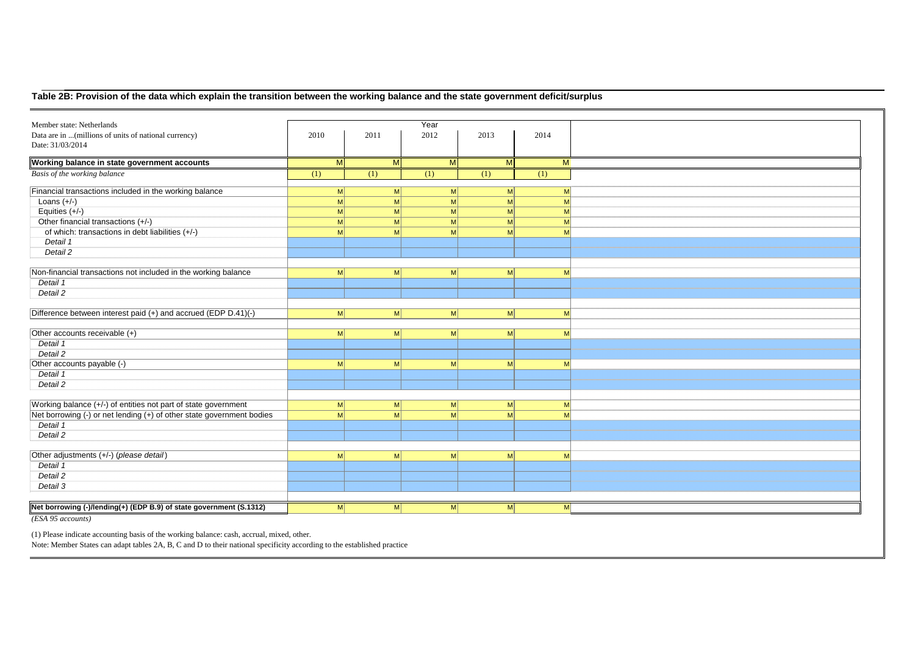## **Table 2B: Provision of the data which explain the transition between the working balance and the state government deficit/surplus**

| Member state: Netherlands                                             |                |                | Year           |              |              |  |
|-----------------------------------------------------------------------|----------------|----------------|----------------|--------------|--------------|--|
| Data are in  (millions of units of national currency)                 | 2010           | 2011           | 2012           | 2013         | 2014         |  |
| Date: 31/03/2014                                                      |                |                |                |              |              |  |
|                                                                       |                |                |                |              |              |  |
| Working balance in state government accounts                          | M              | M              | M              | M            | M            |  |
| Basis of the working balance                                          | (1)            | (1)            | (1)            | (1)          | (1)          |  |
| Financial transactions included in the working balance                | M              | M              | M              | $\mathsf{M}$ | M            |  |
| Loans $(+/-)$                                                         | M              | M <sup>2</sup> | M              | $\mathsf{M}$ | M            |  |
| Equities $(+/-)$                                                      | M              | M <sup>2</sup> | M              | M            | M            |  |
| Other financial transactions (+/-)                                    | M <sup>2</sup> | M <sub>l</sub> | M              | -M           | $\mathsf{M}$ |  |
| of which: transactions in debt liabilities (+/-)                      | M              | M              | M              | $\mathsf{M}$ | $\mathsf{M}$ |  |
| Detail 1                                                              |                |                |                |              |              |  |
| Detail 2                                                              |                |                |                |              |              |  |
|                                                                       |                |                |                |              |              |  |
| Non-financial transactions not included in the working balance        | M <sub>l</sub> | M <sub>l</sub> | M              | $\mathsf{M}$ | $\mathsf{M}$ |  |
| Detail 1                                                              |                |                |                |              |              |  |
| Detail 2                                                              |                |                |                |              |              |  |
|                                                                       |                |                |                |              |              |  |
| Difference between interest paid (+) and accrued (EDP D.41)(-)        | M <sub>l</sub> | M <sup>2</sup> | M <sup>2</sup> | $\mathsf{M}$ | $\mathsf{M}$ |  |
|                                                                       |                |                |                |              |              |  |
| Other accounts receivable (+)                                         | M <sub>l</sub> | M <sup>2</sup> | M <sup>2</sup> | M            | $\mathsf{M}$ |  |
| Detail 1                                                              |                |                |                |              |              |  |
| Detail 2                                                              |                |                |                |              |              |  |
| Other accounts payable (-)                                            | M <sup>2</sup> | M <sub>l</sub> | M <sup>2</sup> | M            | $\mathsf{M}$ |  |
| Detail 1                                                              |                |                |                |              |              |  |
| Detail 2                                                              |                |                |                |              |              |  |
|                                                                       |                |                |                |              |              |  |
| Working balance (+/-) of entities not part of state government        | M              | M              | M              | M            | $\mathsf{M}$ |  |
| Net borrowing (-) or net lending (+) of other state government bodies | M              | M              | M              | -MI          | $\mathsf{M}$ |  |
| Detail 1                                                              |                |                |                |              |              |  |
| Detail 2                                                              |                |                |                |              |              |  |
|                                                                       |                |                |                |              |              |  |
| Other adjustments (+/-) (please detail)                               | M <sub>l</sub> | M              | M              | $\mathsf{M}$ | $\mathsf{M}$ |  |
| Detail 1                                                              |                |                |                |              |              |  |
| Detail 2                                                              |                |                |                |              |              |  |
| Detail 3                                                              |                |                |                |              |              |  |
|                                                                       |                |                |                |              |              |  |
| Net borrowing (-)/lending(+) (EDP B.9) of state government (S.1312)   | M              | M              | M              | $\mathsf{M}$ | M            |  |
| (ESA 95 accounts)                                                     |                |                |                |              |              |  |

(1) Please indicate accounting basis of the working balance: cash, accrual, mixed, other.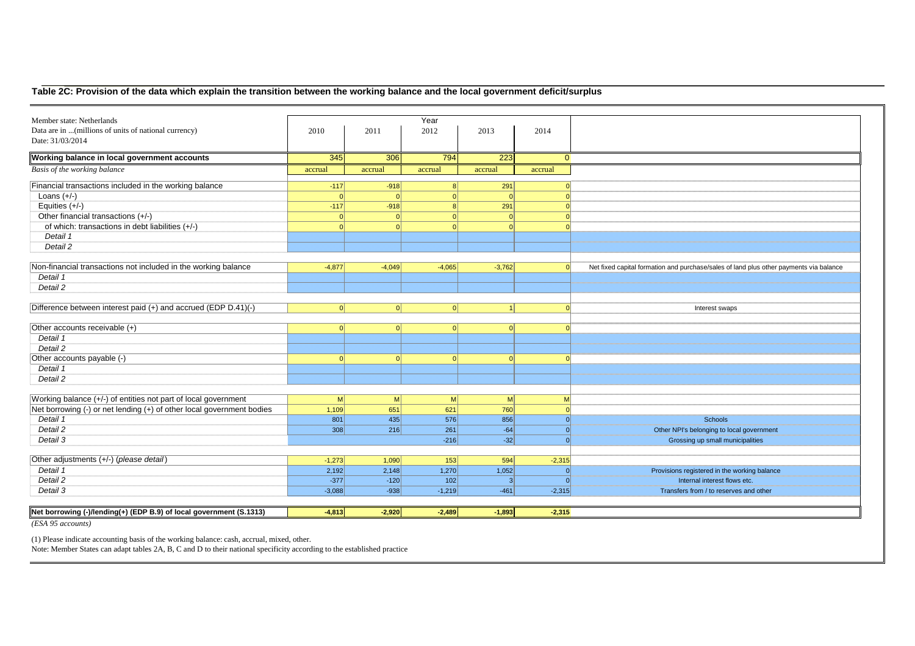## **Table 2C: Provision of the data which explain the transition between the working balance and the local government deficit/surplus**

| Member state: Netherlands                                             |          |                | Year         |           |          |                                                                                        |
|-----------------------------------------------------------------------|----------|----------------|--------------|-----------|----------|----------------------------------------------------------------------------------------|
| Data are in  (millions of units of national currency)                 | 2010     | 2011           | 2012         | 2013      | 2014     |                                                                                        |
| Date: 31/03/2014                                                      |          |                |              |           |          |                                                                                        |
|                                                                       |          |                |              |           |          |                                                                                        |
| Working balance in local government accounts                          | 345      | 306            | 794          | 223       | $\Omega$ |                                                                                        |
| Basis of the working balance                                          | accrual  | accrual        | accrual      | accrual   | accrual  |                                                                                        |
| Financial transactions included in the working balance                | $-117$   | $-918$         | 8            | 291       | $\Omega$ |                                                                                        |
| Loans $(+/-)$                                                         | - Ol     |                | $\Omega$     | - Ol      | $\Omega$ |                                                                                        |
| Equities $(+/-)$                                                      | $-117$   | $-918$         | $\mathsf{R}$ | 291       |          |                                                                                        |
| Other financial transactions (+/-)                                    | $\Omega$ | $\Omega$       | $\Omega$     | 0         |          |                                                                                        |
| of which: transactions in debt liabilities (+/-)                      | $\Omega$ |                | $\Omega$     | $\Omega$  |          |                                                                                        |
| Detail 1                                                              |          |                |              |           |          |                                                                                        |
| Detail 2                                                              |          |                |              |           |          |                                                                                        |
|                                                                       |          |                |              |           |          |                                                                                        |
| Non-financial transactions not included in the working balance        | $-4,877$ | $-4,049$       | $-4,065$     | $-3,762$  |          | Net fixed capital formation and purchase/sales of land plus other payments via balance |
| Detail 1                                                              |          |                |              |           |          |                                                                                        |
| Detail 2                                                              |          |                |              |           |          |                                                                                        |
|                                                                       | $\Omega$ | $\Omega$       |              |           |          |                                                                                        |
| Difference between interest paid (+) and accrued (EDP D.41)(-)        |          |                | 0            | $\vert$ 1 |          | Interest swaps                                                                         |
| Other accounts receivable (+)                                         | $\Omega$ |                |              | $\Omega$  |          |                                                                                        |
| Detail 1                                                              |          |                |              |           |          |                                                                                        |
| Detail 2                                                              |          |                |              |           |          |                                                                                        |
| Other accounts payable (-)                                            | $\Omega$ |                |              | $\Omega$  |          |                                                                                        |
| Detail 1                                                              |          |                |              |           |          |                                                                                        |
| Detail 2                                                              |          |                |              |           |          |                                                                                        |
|                                                                       |          |                |              |           |          |                                                                                        |
| Working balance (+/-) of entities not part of local government        | M        | M <sub>l</sub> | M            | M         | M        |                                                                                        |
| Net borrowing (-) or net lending (+) of other local government bodies | 1,109    | 651            | 621          | 760       | $\Omega$ |                                                                                        |
| Detail 1                                                              | 801      | 435            | 576          | 856       | $\Omega$ | Schools                                                                                |
| Detail 2                                                              | 308      | 216            | 261          | $-64$     | $\Omega$ | Other NPI's belonging to local government                                              |
| Detail 3                                                              |          |                | $-216$       | $-32$     | $\Omega$ | Grossing up small municipalities                                                       |
| Other adjustments (+/-) (please detail)                               | $-1,273$ | 1,090          | 153          | 594       | $-2,315$ |                                                                                        |
| Detail 1                                                              | 2,192    | 2,148          | 1,270        | 1,052     | $\Omega$ | Provisions registered in the working balance                                           |
| Detail 2                                                              | $-377$   | $-120$         | 102          | 3         | $\Omega$ | Internal interest flows etc.                                                           |
| Detail 3                                                              | $-3,088$ | $-938$         | $-1,219$     | $-461$    | $-2,315$ | Transfers from / to reserves and other                                                 |
|                                                                       |          |                |              |           |          |                                                                                        |
| Net borrowing (-)/lending(+) (EDP B.9) of local government (S.1313)   | $-4,813$ | $-2,920$       | $-2,489$     | $-1,893$  | $-2,315$ |                                                                                        |
| $(ESA 95$ $\overline{accounds})$                                      |          |                |              |           |          |                                                                                        |

(1) Please indicate accounting basis of the working balance: cash, accrual, mixed, other.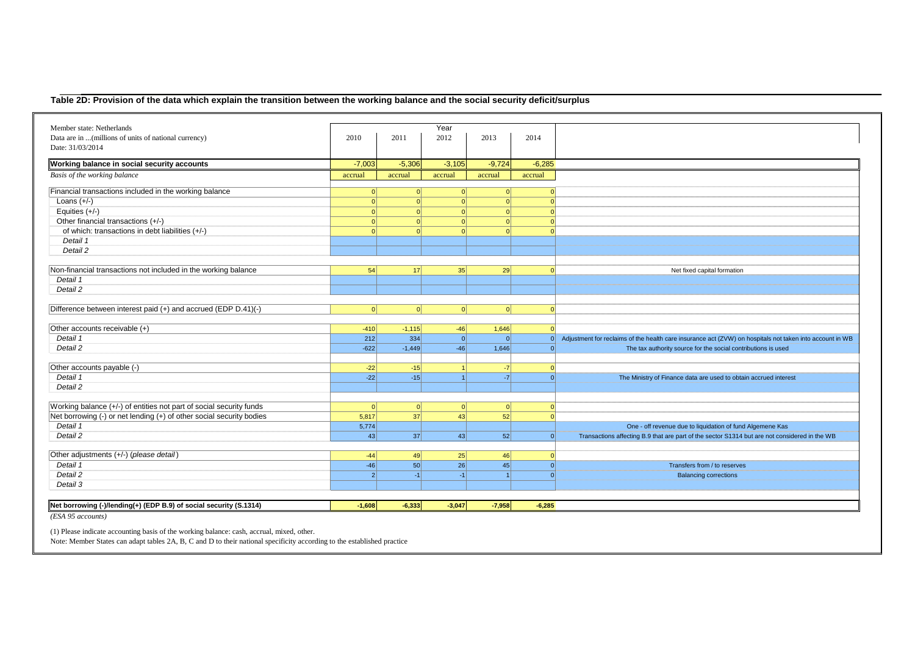## **Table 2D: Provision of the data which explain the transition between the working balance and the social security deficit/surplus**

| Member state: Netherlands                                                               |                |                 | Year     |          |          |                                                                                                          |
|-----------------------------------------------------------------------------------------|----------------|-----------------|----------|----------|----------|----------------------------------------------------------------------------------------------------------|
| Data are in  (millions of units of national currency)                                   | 2010           | 2011            | 2012     | 2013     | 2014     |                                                                                                          |
| Date: 31/03/2014                                                                        |                |                 |          |          |          |                                                                                                          |
| Working balance in social security accounts                                             | $-7,003$       | $-5,306$        | $-3,105$ | $-9,724$ | $-6,285$ |                                                                                                          |
| Basis of the working balance                                                            | accrual        | accrual         | accrual  | accrual  | accrual  |                                                                                                          |
| Financial transactions included in the working balance                                  | $\Omega$       | $\Omega$        | $\Omega$ | $\Omega$ |          |                                                                                                          |
| Loans $(+/-)$                                                                           | $\Omega$       | $\Omega$        | $\Omega$ | $\Omega$ |          |                                                                                                          |
| Equities $(+/-)$                                                                        | $\Omega$       | $\Omega$        | $\Omega$ | $\Omega$ |          |                                                                                                          |
| Other financial transactions (+/-)                                                      | $\Omega$       | $\Omega$        | $\Omega$ | $\Omega$ |          |                                                                                                          |
| of which: transactions in debt liabilities (+/-)                                        | $\Omega$       | $\Omega$        |          | $\Omega$ |          |                                                                                                          |
| Detail 1                                                                                |                |                 |          |          |          |                                                                                                          |
| Detail 2                                                                                |                |                 |          |          |          |                                                                                                          |
| Non-financial transactions not included in the working balance                          | 54             | 17 <sup>1</sup> | 35       | 29       |          | Net fixed capital formation                                                                              |
| Detail 1                                                                                |                |                 |          |          |          |                                                                                                          |
| Detail 2                                                                                |                |                 |          |          |          |                                                                                                          |
|                                                                                         |                |                 |          |          |          |                                                                                                          |
| Difference between interest paid (+) and accrued (EDP D.41)(-)                          | 0              | 0               | 0        | 0        |          |                                                                                                          |
| Other accounts receivable (+)                                                           | $-410$         | $-1,115$        | $-46$    | 1,646    |          |                                                                                                          |
| Detail 1                                                                                | 212            | 334             | $\Omega$ | $\Omega$ |          | Adjustment for reclaims of the health care insurance act (ZVW) on hospitals not taken into account in WB |
| Detail 2                                                                                | $-622$         | $-1,449$        | $-46$    | 1,646    |          | The tax authority source for the social contributions is used                                            |
|                                                                                         |                |                 |          |          |          |                                                                                                          |
| Other accounts payable (-)                                                              | $-22$          | $-15$           |          | $-7$     |          |                                                                                                          |
| Detail 1                                                                                | $-22$          | $-15$           |          | $-7$     |          | The Ministry of Finance data are used to obtain accrued interest                                         |
| Detail 2                                                                                |                |                 |          |          |          |                                                                                                          |
| Working balance (+/-) of entities not part of social security funds                     | $\Omega$       | $\Omega$        | $\Omega$ | $\Omega$ |          |                                                                                                          |
| Net borrowing (-) or net lending (+) of other social security bodies                    | 5,817          | 37              | 43       | 52       |          |                                                                                                          |
| Detail 1                                                                                | 5,774          |                 |          |          |          | One - off revenue due to liquidation of fund Algemene Kas                                                |
| Detail 2                                                                                | 43             | 37              | 43       | 52       | $\Omega$ | Transactions affecting B.9 that are part of the sector S1314 but are not considered in the WB            |
|                                                                                         |                |                 |          |          |          |                                                                                                          |
| Other adjustments (+/-) (please detail)                                                 | $-44$          | 49              | 25       | 46       |          |                                                                                                          |
| Detail 1                                                                                | $-46$          | 50              | 26       | 45       | $\Omega$ | Transfers from / to reserves                                                                             |
| Detail 2                                                                                | $\overline{2}$ | $-1$            | $-1$     |          | $\Omega$ | <b>Balancing corrections</b>                                                                             |
| Detail 3                                                                                |                |                 |          |          |          |                                                                                                          |
|                                                                                         |                |                 |          |          |          |                                                                                                          |
| Net borrowing (-)/lending(+) (EDP B.9) of social security (S.1314)<br>(ESA 95 accounts) | $-1.608$       | $-6,333$        | $-3.047$ | $-7.958$ | $-6.285$ |                                                                                                          |

(1) Please indicate accounting basis of the working balance: cash, accrual, mixed, other.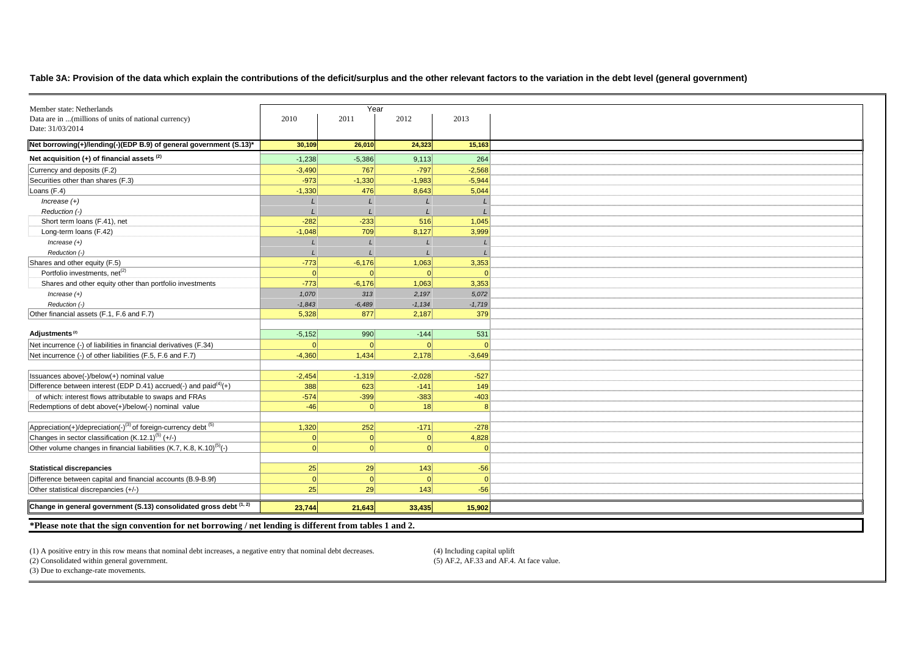#### **Table 3A: Provision of the data which explain the contributions of the deficit/surplus and the other relevant factors to the variation in the debt level (general government)**

| Member state: Netherlands                                                              |          | Year     |                 |          |  |
|----------------------------------------------------------------------------------------|----------|----------|-----------------|----------|--|
| Data are in  (millions of units of national currency)                                  | 2010     | 2011     | 2012            | 2013     |  |
| Date: 31/03/2014                                                                       |          |          |                 |          |  |
| Net borrowing(+)/lending(-)(EDP B.9) of general government (S.13)*                     | 30,109   | 26,010   | 24,323          | 15,163   |  |
| Net acquisition $(+)$ of financial assets $(2)$                                        | $-1,238$ | $-5,386$ | 9,113           | 264      |  |
| Currency and deposits (F.2)                                                            | $-3,490$ | 767      | $-797$          | $-2.568$ |  |
| Securities other than shares (F.3)                                                     | $-973$   | $-1,330$ | $-1,983$        | $-5,944$ |  |
| Loans $(F.4)$                                                                          | $-1,330$ | 476      | 8,643           | 5,044    |  |
| $Increase (+)$                                                                         |          |          |                 |          |  |
| Reduction (-)                                                                          |          |          |                 |          |  |
| Short term loans (F.41), net                                                           | $-282$   | $-233$   | 516             | 1,045    |  |
| Long-term loans (F.42)                                                                 | $-1,048$ | 709      | 8,127           | 3,999    |  |
| $Increase (+)$                                                                         |          |          |                 |          |  |
| Reduction (-)                                                                          |          |          |                 |          |  |
| Shares and other equity (F.5)                                                          | $-773$   | $-6,176$ | 1,063           | 3,353    |  |
| Portfolio investments, net <sup>(2)</sup>                                              | $\Omega$ | $\Omega$ | $\Omega$        |          |  |
| Shares and other equity other than portfolio investments                               | $-773$   | $-6,176$ | 1,063           | 3,353    |  |
| $Increase (+)$                                                                         | 1,070    | 313      | 2,197           | 5,072    |  |
| Reduction (-)                                                                          | $-1,843$ | $-6,489$ | $-1,134$        | $-1,719$ |  |
| Other financial assets (F.1, F.6 and F.7)                                              | 5,328    | 877      | 2,187           | 379      |  |
|                                                                                        |          |          |                 |          |  |
| Adjustments <sup>(2)</sup>                                                             | $-5,152$ | 990      | $-144$          | 531      |  |
| Net incurrence (-) of liabilities in financial derivatives (F.34)                      | $\Omega$ | 0        | $\Omega$        |          |  |
| Net incurrence (-) of other liabilities (F.5, F.6 and F.7)                             | $-4,360$ | 1,434    | 2,178           | $-3,649$ |  |
|                                                                                        |          |          |                 |          |  |
| Issuances above(-)/below(+) nominal value                                              | $-2,454$ | $-1,319$ | $-2,028$        | $-527$   |  |
| Difference between interest (EDP D.41) accrued(-) and paid <sup>(4)</sup> (+)          | 388      | 623      | $-141$          | 149      |  |
| of which: interest flows attributable to swaps and FRAs                                | $-574$   | $-399$   | $-383$          | $-403$   |  |
| Redemptions of debt above(+)/below(-) nominal value                                    | $-46$    | $\Omega$ | 18 <sup>1</sup> |          |  |
|                                                                                        |          |          |                 |          |  |
| Appreciation(+)/depreciation(-) <sup>(3)</sup> of foreign-currency debt <sup>(5)</sup> | 1,320    | 252      | $-171$          | $-278$   |  |
| Changes in sector classification (K.12.1) <sup>(5)</sup> (+/-)                         | $\Omega$ | 0        | 0               | 4,828    |  |
| Other volume changes in financial liabilities (K.7, K.8, K.10) <sup>(5)</sup> (-)      | $\Omega$ | 0        | $\Omega$        |          |  |
|                                                                                        |          |          |                 |          |  |
| <b>Statistical discrepancies</b>                                                       | 25       | 29       | 143             | $-56$    |  |
| Difference between capital and financial accounts (B.9-B.9f)                           | $\Omega$ | $\Omega$ | $\Omega$        |          |  |
| Other statistical discrepancies (+/-)                                                  | 25       | 29       | 143             | $-56$    |  |
| Change in general government (S.13) consolidated gross debt (1, 2)                     | 23,744   | 21,643   | 33,435          | 15,902   |  |

(1) A positive entry in this row means that nominal debt increases, a negative entry that nominal debt decreases. (4) Including capital uplift

(2) Consolidated within general government.

 $(5)$  AF.2, AF.33 and AF.4. At face value.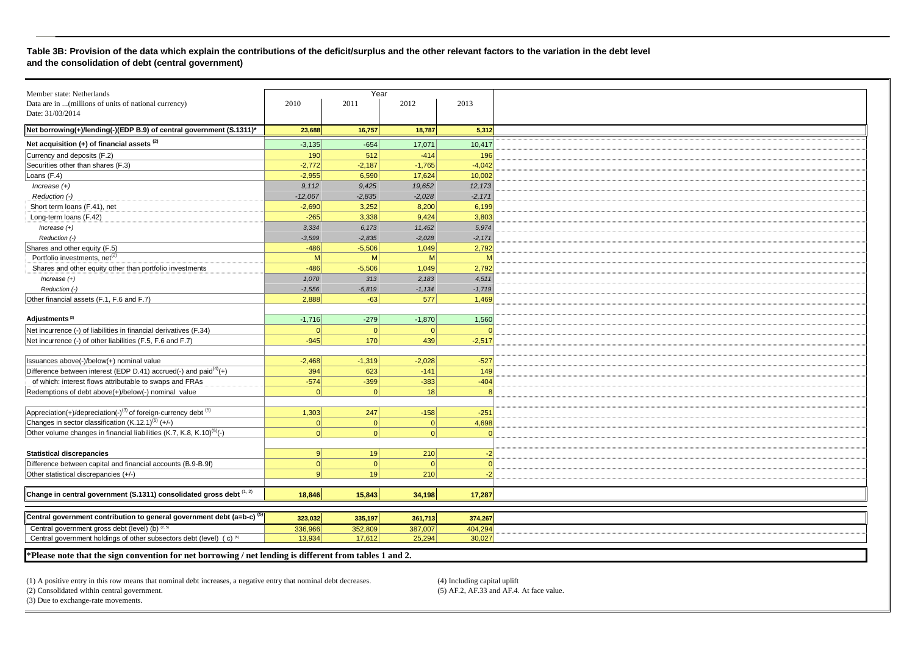#### **Table 3B: Provision of the data which explain the contributions of the deficit/surplus and the other relevant factors to the variation in the debt level and the consolidation of debt (central government)**

| Member state: Netherlands                                                              |           | Year     |          |          |
|----------------------------------------------------------------------------------------|-----------|----------|----------|----------|
| Data are in  (millions of units of national currency)                                  | 2010      | 2011     | 2012     | 2013     |
| Date: 31/03/2014                                                                       |           |          |          |          |
|                                                                                        |           |          |          |          |
| Net borrowing(+)/lending(-)(EDP B.9) of central government (S.1311)*                   | 23,688    | 16,757   | 18,787   | 5,312    |
| Net acquisition $(+)$ of financial assets $(2)$                                        | $-3,135$  | $-654$   | 17,071   | 10,417   |
| Currency and deposits (F.2)                                                            | 190       | 512      | $-414$   | 196      |
| Securities other than shares (F.3)                                                     | $-2,772$  | $-2,187$ | $-1,765$ | $-4,042$ |
| Loans (F.4)                                                                            | $-2,955$  | 6,590    | 17,624   | 10,002   |
| Increase $(+)$                                                                         | 9,112     | 9,425    | 19,652   | 12,173   |
| Reduction (-)                                                                          | $-12,067$ | $-2.835$ | $-2,028$ | $-2,171$ |
| Short term loans (F.41), net                                                           | $-2,690$  | 3,252    | 8,200    | 6,199    |
| Long-term loans (F.42)                                                                 | $-265$    | 3,338    | 9.424    | 3,803    |
| $Increase (+)$                                                                         | 3,334     | 6,173    | 11,452   | 5,974    |
| Reduction (-)                                                                          | $-3,599$  | $-2,835$ | $-2,028$ | $-2,171$ |
| Shares and other equity (F.5)                                                          | $-486$    | $-5,506$ | 1,049    | 2,792    |
| Portfolio investments, net <sup>(2)</sup>                                              | M         | M        | M        | M        |
| Shares and other equity other than portfolio investments                               | $-486$    | $-5,506$ | 1,049    | 2,792    |
| $Increase (+)$                                                                         | 1,070     | 313      | 2,183    | 4,511    |
| Reduction (-)                                                                          | $-1,556$  | $-5,819$ | $-1,134$ | $-1,719$ |
| Other financial assets (F.1, F.6 and F.7)                                              | 2,888     | $-63$    | 577      | 1,469    |
|                                                                                        |           |          |          |          |
| Adjustments <sup>(2)</sup>                                                             | $-1,716$  | $-279$   | $-1,870$ | 1,560    |
| Net incurrence (-) of liabilities in financial derivatives (F.34)                      | $\Omega$  | 0        | $\Omega$ | C        |
| Net incurrence (-) of other liabilities (F.5, F.6 and F.7)                             | $-945$    | 170      | 439      | $-2,517$ |
|                                                                                        |           |          |          |          |
| Issuances above(-)/below(+) nominal value                                              | $-2,468$  | $-1,319$ | $-2,028$ | $-527$   |
| Difference between interest (EDP D.41) accrued(-) and paid $(4)$ (+)                   | 394       | 623      | $-141$   | 149      |
| of which: interest flows attributable to swaps and FRAs                                | $-574$    | $-399$   | $-383$   | $-404$   |
| Redemptions of debt above(+)/below(-) nominal value                                    | $\vert$ 0 | 0        | 18       | 8        |
|                                                                                        |           |          |          |          |
| Appreciation(+)/depreciation(-) <sup>(3)</sup> of foreign-currency debt <sup>(5)</sup> | 1,303     | 247      | $-158$   | $-251$   |
| Changes in sector classification (K.12.1) <sup>(5)</sup> (+/-)                         | 0         | 0        | $\Omega$ | 4,698    |
| Other volume changes in financial liabilities (K.7, K.8, K.10) <sup>(5)</sup> (-)      | $\Omega$  | $\Omega$ | $\Omega$ | $\Omega$ |
|                                                                                        |           |          |          |          |
| <b>Statistical discrepancies</b>                                                       | 9         | 19       | 210      | $-2$     |
| Difference between capital and financial accounts (B.9-B.9f)                           | $\Omega$  | 0        | $\Omega$ | $\Omega$ |
|                                                                                        | 9         |          |          |          |
| Other statistical discrepancies (+/-)                                                  |           | 19       | 210      | $-2$     |
| Change in central government (S.1311) consolidated gross debt $(1, 2)$                 |           |          |          |          |
|                                                                                        | 18,846    | 15,843   | 34,198   | 17,287   |
|                                                                                        |           |          |          |          |
| Central government contribution to general government debt (a=b-c) <sup>(5</sup>       | 323,032   | 335,197  | 361,713  | 374,267  |
| Central government gross debt (level) (b) (2, 5)                                       | 336,966   | 352,809  | 387,007  | 404,294  |
| Central government holdings of other subsectors debt (level) (c) <sup>(5)</sup>        | 13,934    | 17.612   | 25,294   | 30,027   |

**\*Please note that the sign convention for net borrowing / net lending is different from tables 1 and 2.** 

(1) A positive entry in this row means that nominal debt increases, a negative entry that nominal debt decreases. (2) Consolidated within central government.

 $(5)$  AF.2, AF.33 and AF.4. At face value.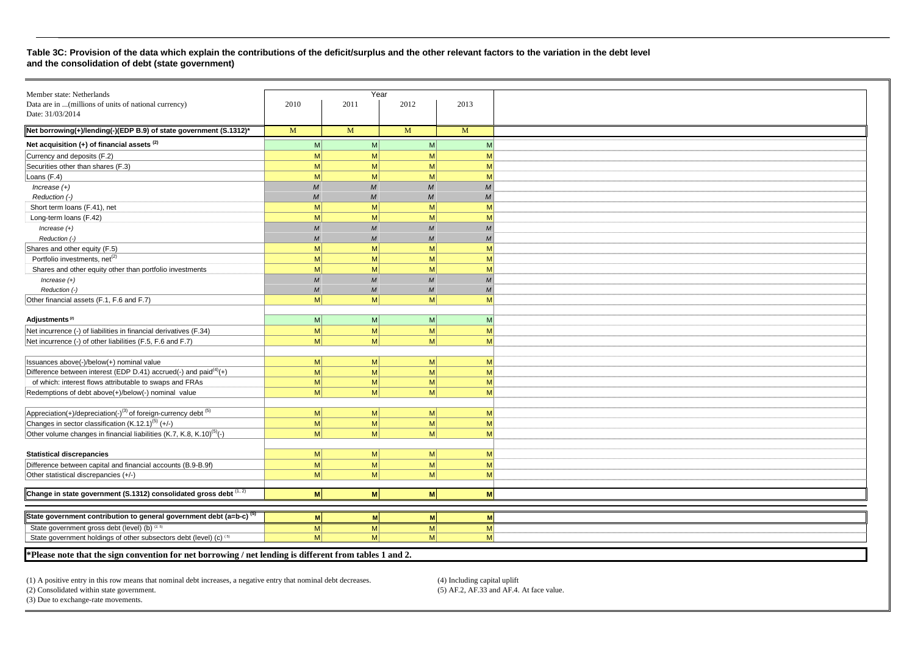#### **Table 3C: Provision of the data which explain the contributions of the deficit/surplus and the other relevant factors to the variation in the debt level and the consolidation of debt (state government)**

| Member state: Netherlands                                                                             |                  | Year                        |                |                             |
|-------------------------------------------------------------------------------------------------------|------------------|-----------------------------|----------------|-----------------------------|
| Data are in  (millions of units of national currency)                                                 | 2010             | 2011                        | 2012           | 2013                        |
| Date: 31/03/2014                                                                                      |                  |                             |                |                             |
|                                                                                                       |                  |                             |                |                             |
| Net borrowing(+)/lending(-)(EDP B.9) of state government (S.1312)*                                    | M                | M                           | M              | M                           |
| Net acquisition (+) of financial assets <sup>(2)</sup>                                                | M                | M <sup>2</sup>              | M              | M                           |
| Currency and deposits (F.2)                                                                           | M                | M                           | M              | M                           |
| Securities other than shares (F.3)                                                                    | M                | M                           | M              | M                           |
| Loans (F.4)                                                                                           | M                | M                           | M              | M                           |
| $Increase (+)$                                                                                        | $\overline{M}$   | M                           | M              | $\overline{M}$              |
| Reduction (-)                                                                                         | $\overline{M}$   | M                           | M              | M                           |
| Short term loans (F.41), net                                                                          | M                | M                           | M              | M                           |
| Long-term loans (F.42)                                                                                | M                | M                           | M              | M                           |
| $Increase (+)$                                                                                        | $\boldsymbol{M}$ | $\mathcal{M}_{\mathcal{A}}$ | M              | M                           |
| Reduction (-)                                                                                         | $\overline{M}$   | M                           | $\overline{M}$ | M                           |
| Shares and other equity (F.5)                                                                         | M                | M                           | M              | M                           |
| Portfolio investments, net <sup>(2)</sup>                                                             | M                | M                           | M              | M                           |
| Shares and other equity other than portfolio investments                                              | M                | M                           | M              | M                           |
| $Increase (+)$                                                                                        | $\overline{M}$   | $\mathcal{M}_{\mathcal{A}}$ | M              | $\mathcal{M}_{\mathcal{A}}$ |
| Reduction (-)                                                                                         | $\overline{M}$   | $\mathcal{M}_{\mathcal{A}}$ | $\overline{M}$ | M                           |
| Other financial assets (F.1, F.6 and F.7)                                                             | M                | M                           | M              | M                           |
|                                                                                                       |                  |                             |                |                             |
| Adjustments <sup>(2)</sup>                                                                            | M                | M                           | M              | M                           |
| Net incurrence (-) of liabilities in financial derivatives (F.34)                                     | M                | M                           | M              | M                           |
| Net incurrence (-) of other liabilities (F.5, F.6 and F.7)                                            | M                | M                           | M              | M                           |
|                                                                                                       |                  |                             |                |                             |
| Issuances above(-)/below(+) nominal value                                                             | M                | M <sup>2</sup>              | M <sup>2</sup> | M                           |
| Difference between interest (EDP D.41) accrued(-) and paid $(4)$ (+)                                  | M                | M                           | M              | M                           |
| of which: interest flows attributable to swaps and FRAs                                               | M                | M                           | M              | M                           |
| Redemptions of debt above(+)/below(-) nominal value                                                   | M                | M                           | M              | M                           |
|                                                                                                       |                  |                             |                |                             |
| $\overline{Appreciation(+)}/\overline{depreciation(-)}^{(3)}$ of foreign-currency debt <sup>(5)</sup> | M                | M                           | M              | M                           |
| Changes in sector classification $(K.12.1)^{(5)}$ (+/-)                                               | M                | M                           | M              | M                           |
| Other volume changes in financial liabilities (K.7, K.8, K.10) <sup>(5)</sup> (-)                     | M                | M                           | M              | M                           |
|                                                                                                       |                  |                             |                |                             |
| <b>Statistical discrepancies</b>                                                                      | M                | M                           | M              | M                           |
| Difference between capital and financial accounts (B.9-B.9f)                                          | M                | M                           | M              | M                           |
|                                                                                                       | M                | M                           | M              |                             |
| Other statistical discrepancies (+/-)                                                                 |                  |                             |                | M                           |
| Change in state government (S.1312) consolidated gross debt (1, 2)                                    | M                | M                           | M              | M                           |
|                                                                                                       |                  |                             |                |                             |
| State government contribution to general government debt (a=b-c) <sup>(5)</sup>                       |                  |                             |                |                             |
|                                                                                                       | M                | M                           | M              | M                           |
| State government gross debt (level) (b) (2, 5)                                                        | M                | M                           | M              | M                           |
| State government holdings of other subsectors debt (level) (c) (5)                                    | M                | $\mathsf{M}$                | M              | M                           |

**\*Please note that the sign convention for net borrowing / net lending is different from tables 1 and 2.** 

(1) A positive entry in this row means that nominal debt increases, a negative entry that nominal debt decreases.

 $(5)$  AF.2, AF.33 and AF.4. At face value.

(2) Consolidated within state government.(3) Due to exchange-rate movements.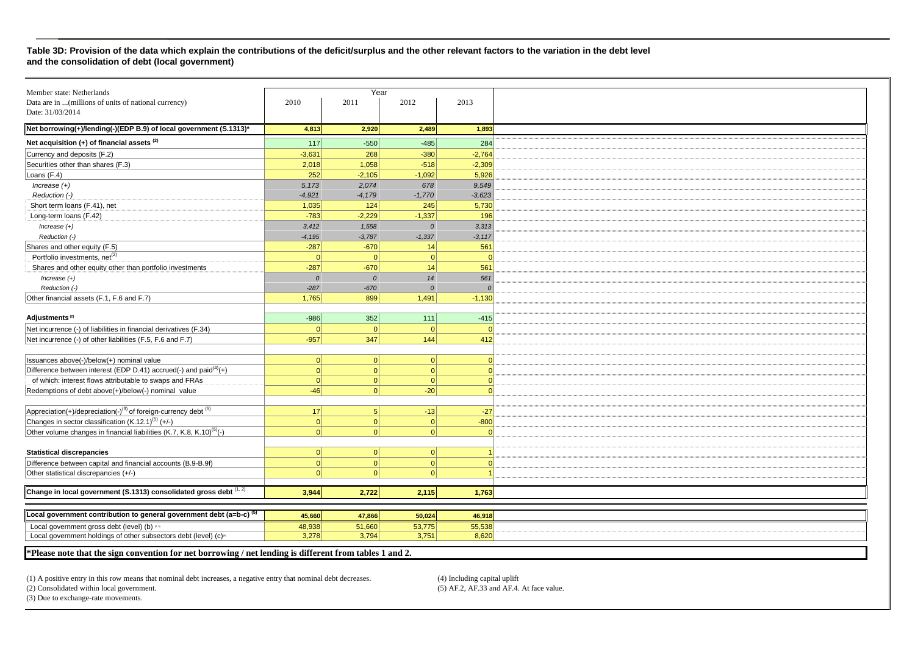#### **Table 3D: Provision of the data which explain the contributions of the deficit/surplus and the other relevant factors to the variation in the debt level and the consolidation of debt (local government)**

| Member state: Netherlands                                                              |           | Year           |           |                |
|----------------------------------------------------------------------------------------|-----------|----------------|-----------|----------------|
| Data are in  (millions of units of national currency)                                  | 2010      | 2011           | 2012      | 2013           |
| Date: 31/03/2014                                                                       |           |                |           |                |
|                                                                                        |           |                |           |                |
| Net borrowing(+)/lending(-)(EDP B.9) of local government (S.1313)*                     | 4,813     | 2,920          | 2,489     | 1,893          |
| Net acquisition $(+)$ of financial assets $(2)$                                        | 117       | $-550$         | $-485$    | 284            |
| Currency and deposits (F.2)                                                            | $-3,631$  | 268            | $-380$    | $-2,764$       |
| Securities other than shares (F.3)                                                     | 2,018     | 1,058          | $-518$    | $-2,309$       |
| Loans (F.4)                                                                            | 252       | $-2,105$       | $-1,092$  | 5,926          |
| Increase $(+)$                                                                         | 5,173     | 2,074          | 678       | 9,549          |
| Reduction (-)                                                                          | $-4,921$  | $-4,179$       | $-1,770$  | $-3,623$       |
| Short term loans (F.41), net                                                           | 1,035     | 124            | 245       | 5,730          |
| Long-term loans (F.42)                                                                 | $-783$    | $-2,229$       | $-1,337$  | 196            |
| Increase $(+)$                                                                         | 3,412     | 1,558          | $\Omega$  | 3,313          |
| Reduction (-)                                                                          | $-4,195$  | $-3,787$       | $-1,337$  | $-3,117$       |
| Shares and other equity (F.5)                                                          | $-287$    | $-670$         | 14        | 561            |
| Portfolio investments, net <sup>(2)</sup>                                              | $\Omega$  | 0              | 0         | $\overline{0}$ |
| Shares and other equity other than portfolio investments                               | $-287$    | $-670$         | 14        | 561            |
| $Increase (+)$                                                                         | $\Omega$  | $\overline{0}$ | 14        | 561            |
| Reduction (-)                                                                          | $-287$    | $-670$         | $\Omega$  | $\overline{0}$ |
| Other financial assets (F.1, F.6 and F.7)                                              | 1,765     | 899            | 1,491     | $-1,130$       |
|                                                                                        |           |                |           |                |
| Adjustments <sup>(2)</sup>                                                             | $-986$    | 352            | 111       | $-415$         |
| Net incurrence (-) of liabilities in financial derivatives (F.34)                      | 0         | 0              | 0         | $\overline{0}$ |
| Net incurrence (-) of other liabilities (F.5, F.6 and F.7)                             | $-957$    | 347            | 144       | 412            |
|                                                                                        |           |                |           |                |
| Issuances above(-)/below(+) nominal value                                              | 0         | 0              | 0         | $\overline{0}$ |
| Difference between interest (EDP D.41) accrued(-) and paid $(4)$ (+)                   | $\Omega$  | 0              | $\vert$ 0 | $\overline{0}$ |
| of which: interest flows attributable to swaps and FRAs                                | $\Omega$  | $\vert$ 0      | $\vert$ 0 | $\overline{0}$ |
| Redemptions of debt above(+)/below(-) nominal value                                    | $-46$     | 0              | $-20$     | $\overline{0}$ |
|                                                                                        |           |                |           |                |
| Appreciation(+)/depreciation(-) <sup>(3)</sup> of foreign-currency debt <sup>(5)</sup> | 17        | 5 <sup>1</sup> | $-13$     | $-27$          |
| Changes in sector classification (K.12.1) <sup>(5)</sup> (+/-)                         | 0         | 0              | 0         | $-800$         |
| Other volume changes in financial liabilities (K.7, K.8, K.10) <sup>(5)</sup> (-)      | $\Omega$  | $\Omega$       | $\vert$ 0 | $\overline{0}$ |
|                                                                                        |           |                |           |                |
| <b>Statistical discrepancies</b>                                                       | 0         | 0              | 0         |                |
| Difference between capital and financial accounts (B.9-B.9f)                           | $\vert$ 0 | 0              | 0         | $\overline{0}$ |
| Other statistical discrepancies (+/-)                                                  |           | $\Omega$       | $\Omega$  |                |
|                                                                                        |           |                |           |                |
| Change in local government (S.1313) consolidated gross debt (1, 2)                     | 3,944     | 2,722          | 2,115     | 1,763          |
|                                                                                        |           |                |           |                |
| Local government contribution to general government debt (a=b-c) <sup>(5)</sup>        | 45,660    | 47,866         | 50,024    | 46,918         |
| Local government gross debt (level) (b) as                                             | 48,938    | 51,660         | 53,775    | 55,538         |
| Local government holdings of other subsectors debt (level) (c) <sup>®</sup>            | 3,278     | 3,794          | 3,751     | 8.620          |

**\*Please note that the sign convention for net borrowing / net lending is different from tables 1 and 2.** 

(1) A positive entry in this row means that nominal debt increases, a negative entry that nominal debt decreases. (4) Including capital uplift

(2) Consolidated within local government.

 $(5)$  AF.2, AF.33 and AF.4. At face value.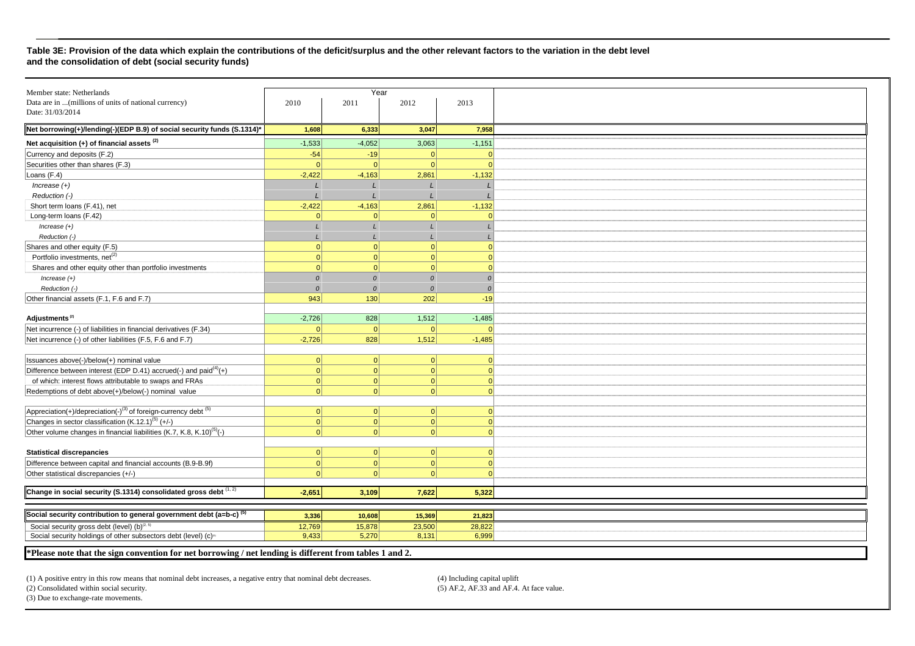#### **Table 3E: Provision of the data which explain the contributions of the deficit/surplus and the other relevant factors to the variation in the debt level and the consolidation of debt (social security funds)**

|                                                                                                                                        |                 | Year            |                 |                 |
|----------------------------------------------------------------------------------------------------------------------------------------|-----------------|-----------------|-----------------|-----------------|
| Member state: Netherlands<br>Data are in  (millions of units of national currency)                                                     | 2010            | 2011            | 2012            | 2013            |
| Date: 31/03/2014                                                                                                                       |                 |                 |                 |                 |
|                                                                                                                                        |                 |                 |                 |                 |
| Net borrowing(+)/lending(-)(EDP B.9) of social security funds (S.1314)*                                                                | 1,608           | 6,333           | 3,047           | 7,958           |
| Net acquisition (+) of financial assets <sup>(2)</sup>                                                                                 | $-1,533$        | $-4,052$        | 3,063           | $-1,151$        |
| Currency and deposits (F.2)                                                                                                            | $-54$           | $-19$           | $\Omega$        | $\Omega$        |
| Securities other than shares (F.3)                                                                                                     | $\overline{0}$  | $\Omega$        | $\Omega$        | $\Omega$        |
| Loans (F.4)                                                                                                                            | $-2,422$        | $-4,163$        | 2,861           | $-1,132$        |
| $Increase (+)$                                                                                                                         |                 |                 |                 |                 |
| Reduction (-)                                                                                                                          |                 |                 |                 |                 |
| Short term loans (F.41), net                                                                                                           | $-2,422$        | $-4,163$        | 2,861           | $-1,132$        |
| Long-term loans (F.42)                                                                                                                 | $\Omega$        | $\Omega$        | $\Omega$        | n               |
| $Increase (+)$                                                                                                                         |                 |                 |                 |                 |
| Reduction (-)                                                                                                                          |                 |                 |                 |                 |
| Shares and other equity (F.5)                                                                                                          | $\Omega$        | 0               | $\Omega$        | $\Omega$        |
| Portfolio investments, net <sup>(2)</sup>                                                                                              | $\Omega$        | 0               | $\Omega$        | $\Omega$        |
| Shares and other equity other than portfolio investments                                                                               | $\vert$ 0       | 0               | $\Omega$        | $\Omega$        |
| $Increase (+)$                                                                                                                         | $\Omega$        | $\mathcal{O}$   | $\Omega$        | $\Omega$        |
| Reduction (-)                                                                                                                          | $\mathcal{O}$   | $\mathcal{O}$   | $\mathcal{O}$   | $\overline{0}$  |
| Other financial assets (F.1, F.6 and F.7)                                                                                              | 943             | 130             | 202             | $-19$           |
|                                                                                                                                        |                 |                 |                 |                 |
| Adjustments <sup>(2)</sup>                                                                                                             | $-2,726$        | 828             | 1,512           | $-1,485$        |
| Net incurrence (-) of liabilities in financial derivatives (F.34)                                                                      | $\Omega$        | $\overline{0}$  | $\Omega$        |                 |
| Net incurrence (-) of other liabilities (F.5, F.6 and F.7)                                                                             | $-2,726$        | 828             | 1,512           | $-1,485$        |
|                                                                                                                                        |                 |                 |                 |                 |
| Issuances above(-)/below(+) nominal value                                                                                              | 0               | 0               | 0               | $\Omega$        |
| Difference between interest (EDP D.41) accrued(-) and paid $(4)$ (+)                                                                   | 0               | 0               | $\Omega$        | $\Omega$        |
| of which: interest flows attributable to swaps and FRAs                                                                                | 0               | $\overline{0}$  | $\overline{0}$  | $\overline{0}$  |
| Redemptions of debt above(+)/below(-) nominal value                                                                                    | $\Omega$        | $\Omega$        | $\Omega$        | $\Omega$        |
|                                                                                                                                        |                 |                 |                 |                 |
| $Appreciation(+)/deprecision(-)^{(3)}$ of foreign-currency debt $^{(5)}$                                                               | 0               | 0               | 0               | $\Omega$        |
| Changes in sector classification $(K.12.1)^{(5)}$ (+/-)                                                                                | 0               | 0               | 0               | $\Omega$        |
| Other volume changes in financial liabilities (K.7, K.8, K.10) <sup>(5)</sup> (-)                                                      | $\Omega$        | 0               | $\Omega$        | $\Omega$        |
|                                                                                                                                        |                 |                 |                 |                 |
| <b>Statistical discrepancies</b>                                                                                                       | 0               | 0               | $\Omega$        | $\Omega$        |
| Difference between capital and financial accounts (B.9-B.9f)                                                                           | $\vert$ 0       | 0               | $\Omega$        | $\Omega$        |
| Other statistical discrepancies (+/-)                                                                                                  | $\Omega$        | $\Omega$        | $\Omega$        | $\Omega$        |
|                                                                                                                                        |                 |                 |                 |                 |
| Change in social security (S.1314) consolidated gross debt $(1, 2)$                                                                    | $-2,651$        | 3,109           | 7,622           | 5,322           |
|                                                                                                                                        |                 |                 |                 |                 |
| Social security contribution to general government debt (a=b-c) <sup>(5)</sup>                                                         |                 |                 |                 |                 |
|                                                                                                                                        | 3,336           | 10,608          | 15,369          | 21,823          |
| Social security gross debt (level) (b) <sup>(2, 5)</sup><br>Social security holdings of other subsectors debt (level) (c) <sup>®</sup> | 12,769<br>9,433 | 15,878<br>5,270 | 23,500<br>8,131 | 28,822<br>6,999 |
|                                                                                                                                        |                 |                 |                 |                 |

**\*Please note that the sign convention for net borrowing / net lending is different from tables 1 and 2.** 

(1) A positive entry in this row means that nominal debt increases, a negative entry that nominal debt decreases. (4) Including capital uplift

(2) Consolidated within social security.

(5) AF.2, AF.33 and AF.4. At face value.